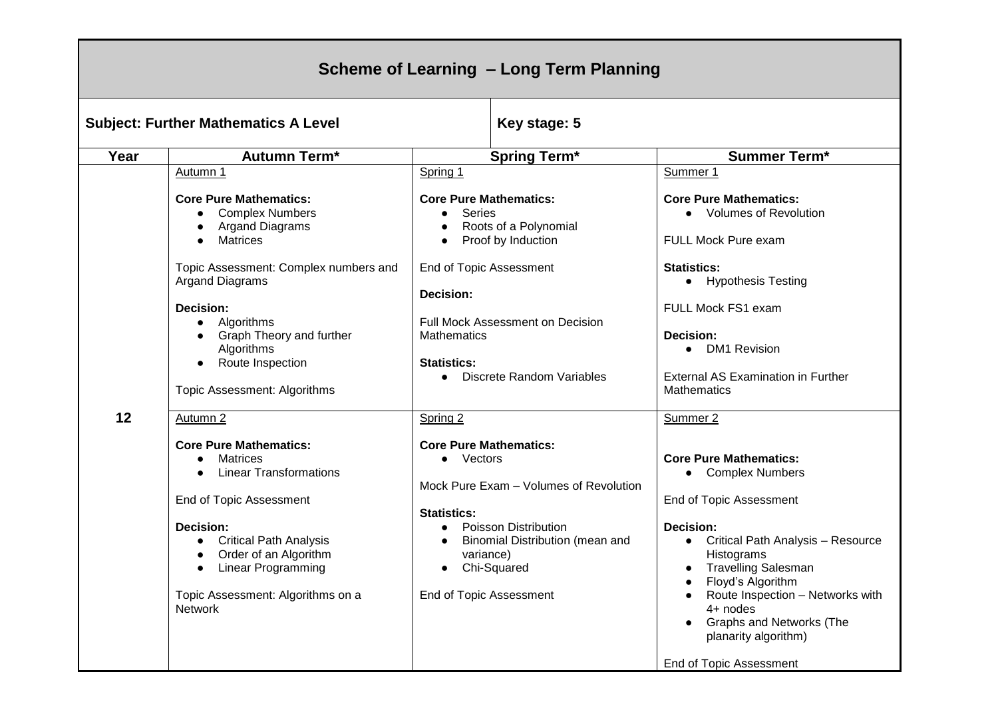| Scheme of Learning - Long Term Planning     |                                                                                                                                                                                                                                                                                                         |                                                                                                                                                                                                                                                                         |                                                                                                                                                                                                                                                                                                                                                               |  |  |
|---------------------------------------------|---------------------------------------------------------------------------------------------------------------------------------------------------------------------------------------------------------------------------------------------------------------------------------------------------------|-------------------------------------------------------------------------------------------------------------------------------------------------------------------------------------------------------------------------------------------------------------------------|---------------------------------------------------------------------------------------------------------------------------------------------------------------------------------------------------------------------------------------------------------------------------------------------------------------------------------------------------------------|--|--|
| <b>Subject: Further Mathematics A Level</b> |                                                                                                                                                                                                                                                                                                         | Key stage: 5                                                                                                                                                                                                                                                            |                                                                                                                                                                                                                                                                                                                                                               |  |  |
| Year                                        | <b>Autumn Term*</b>                                                                                                                                                                                                                                                                                     | <b>Spring Term*</b>                                                                                                                                                                                                                                                     | <b>Summer Term*</b>                                                                                                                                                                                                                                                                                                                                           |  |  |
|                                             | Autumn 1                                                                                                                                                                                                                                                                                                | Spring 1                                                                                                                                                                                                                                                                | Summer 1                                                                                                                                                                                                                                                                                                                                                      |  |  |
| 12                                          | <b>Core Pure Mathematics:</b><br><b>Complex Numbers</b><br><b>Argand Diagrams</b><br><b>Matrices</b><br>Topic Assessment: Complex numbers and<br><b>Argand Diagrams</b><br><b>Decision:</b><br>Algorithms<br>Graph Theory and further<br>Algorithms<br>Route Inspection<br>Topic Assessment: Algorithms | <b>Core Pure Mathematics:</b><br><b>Series</b><br>Roots of a Polynomial<br>Proof by Induction<br>End of Topic Assessment<br><b>Decision:</b><br><b>Full Mock Assessment on Decision</b><br><b>Mathematics</b><br><b>Statistics:</b><br><b>Discrete Random Variables</b> | <b>Core Pure Mathematics:</b><br>• Volumes of Revolution<br>FULL Mock Pure exam<br><b>Statistics:</b><br>• Hypothesis Testing<br>FULL Mock FS1 exam<br>Decision:<br><b>DM1 Revision</b><br>$\bullet$<br><b>External AS Examination in Further</b><br>Mathematics                                                                                              |  |  |
|                                             | Autumn 2<br><b>Core Pure Mathematics:</b><br>Matrices<br>$\bullet$<br><b>Linear Transformations</b><br>$\bullet$<br>End of Topic Assessment<br><b>Decision:</b><br><b>Critical Path Analysis</b><br>Order of an Algorithm<br>Linear Programming<br>Topic Assessment: Algorithms on a<br>Network         | Spring 2<br><b>Core Pure Mathematics:</b><br>• Vectors<br>Mock Pure Exam - Volumes of Revolution<br><b>Statistics:</b><br><b>Poisson Distribution</b><br>$\bullet$<br>Binomial Distribution (mean and<br>variance)<br>Chi-Squared<br><b>End of Topic Assessment</b>     | Summer <sub>2</sub><br><b>Core Pure Mathematics:</b><br>• Complex Numbers<br>End of Topic Assessment<br>Decision:<br>Critical Path Analysis - Resource<br>Histograms<br><b>Travelling Salesman</b><br>Floyd's Algorithm<br>Route Inspection - Networks with<br>4+ nodes<br><b>Graphs and Networks (The</b><br>planarity algorithm)<br>End of Topic Assessment |  |  |